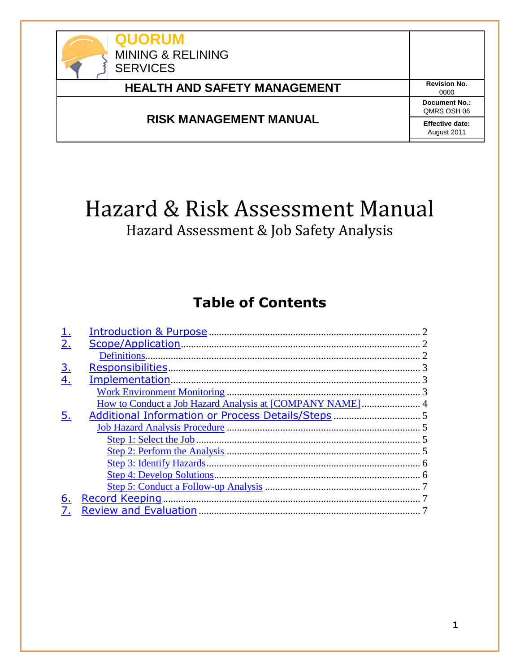

0000 **Document No.:** QMRS OSH 06 **Effective date:** August 2011

# Hazard & Risk Assessment Manual Hazard Assessment & Job Safety Analysis

**RISK MANAGEMENT MANUAL**

## **Table of Contents**

| How to Conduct a Job Hazard Analysis at [COMPANY NAME] 4<br>Additional Information or Process Details/Steps  5 |
|----------------------------------------------------------------------------------------------------------------|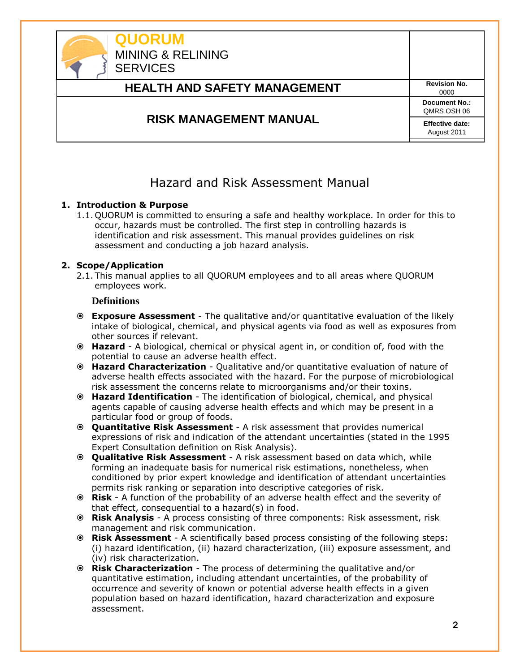

### Hazard and Risk Assessment Manual

#### <span id="page-1-0"></span>**1. Introduction & Purpose**

1.1. QUORUM is committed to ensuring a safe and healthy workplace. In order for this to occur, hazards must be controlled. The first step in controlling hazards is identification and risk assessment. This manual provides guidelines on risk assessment and conducting a job hazard analysis.

#### <span id="page-1-1"></span>**2. Scope/Application**

<span id="page-1-2"></span>2.1. This manual applies to all QUORUM employees and to all areas where QUORUM employees work.

#### **Definitions**

- **Exposure Assessment** The qualitative and/or quantitative evaluation of the likely intake of biological, chemical, and physical agents via food as well as exposures from other sources if relevant.
- **Hazard** A biological, chemical or physical agent in, or condition of, food with the potential to cause an adverse health effect.
- **Hazard Characterization** Qualitative and/or quantitative evaluation of nature of adverse health effects associated with the hazard. For the purpose of microbiological risk assessment the concerns relate to microorganisms and/or their toxins.
- **Hazard Identification** The identification of biological, chemical, and physical agents capable of causing adverse health effects and which may be present in a particular food or group of foods.
- **Quantitative Risk Assessment**  A risk assessment that provides numerical expressions of risk and indication of the attendant uncertainties (stated in the 1995 Expert Consultation definition on Risk Analysis).
- **Qualitative Risk Assessment** A risk assessment based on data which, while forming an inadequate basis for numerical risk estimations, nonetheless, when conditioned by prior expert knowledge and identification of attendant uncertainties permits risk ranking or separation into descriptive categories of risk.
- **Risk**  A function of the probability of an adverse health effect and the severity of that effect, consequential to a hazard(s) in food.
- **Risk Analysis** A process consisting of three components: Risk assessment, risk management and risk communication.
- **Risk Assessment** A scientifically based process consisting of the following steps: (i) hazard identification, (ii) hazard characterization, (iii) exposure assessment, and (iv) risk characterization.
- **Risk Characterization** The process of determining the qualitative and/or quantitative estimation, including attendant uncertainties, of the probability of occurrence and severity of known or potential adverse health effects in a given population based on hazard identification, hazard characterization and exposure assessment.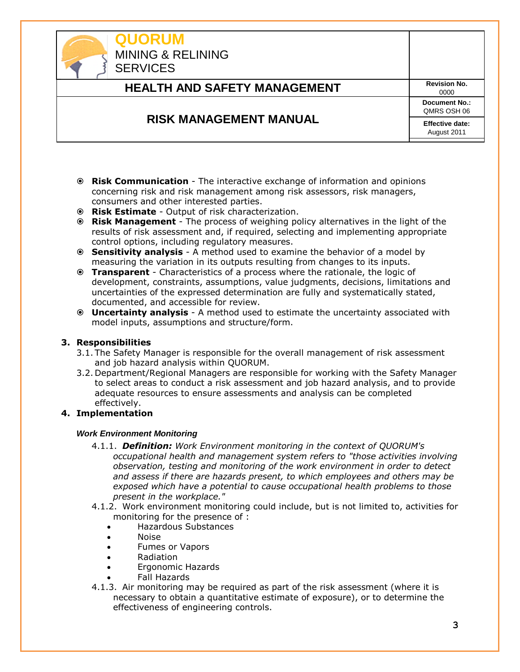

- **Risk Communication** The interactive exchange of information and opinions concerning risk and risk management among risk assessors, risk managers, consumers and other interested parties.
- **Risk Estimate** Output of risk characterization.
- **Risk Management** The process of weighing policy alternatives in the light of the results of risk assessment and, if required, selecting and implementing appropriate control options, including regulatory measures.
- **Sensitivity analysis** A method used to examine the behavior of a model by measuring the variation in its outputs resulting from changes to its inputs.
- **Transparent** Characteristics of a process where the rationale, the logic of development, constraints, assumptions, value judgments, decisions, limitations and uncertainties of the expressed determination are fully and systematically stated, documented, and accessible for review.
- **Uncertainty analysis** A method used to estimate the uncertainty associated with model inputs, assumptions and structure/form.

#### <span id="page-2-0"></span>**3. Responsibilities**

- 3.1. The Safety Manager is responsible for the overall management of risk assessment and job hazard analysis within QUORUM.
- 3.2. Department/Regional Managers are responsible for working with the Safety Manager to select areas to conduct a risk assessment and job hazard analysis, and to provide adequate resources to ensure assessments and analysis can be completed effectively.

#### <span id="page-2-2"></span><span id="page-2-1"></span>**4. Implementation**

#### *Work Environment Monitoring*

- 4.1.1. *Definition: Work Environment monitoring in the context of QUORUM's occupational health and management system refers to "those activities involving observation, testing and monitoring of the work environment in order to detect and assess if there are hazards present, to which employees and others may be exposed which have a potential to cause occupational health problems to those present in the workplace."*
- 4.1.2. Work environment monitoring could include, but is not limited to, activities for monitoring for the presence of :
	- Hazardous Substances
	- Noise
	- Fumes or Vapors
	- Radiation
	- Ergonomic Hazards
	- Fall Hazards
- 4.1.3. Air monitoring may be required as part of the risk assessment (where it is necessary to obtain a quantitative estimate of exposure), or to determine the effectiveness of engineering controls.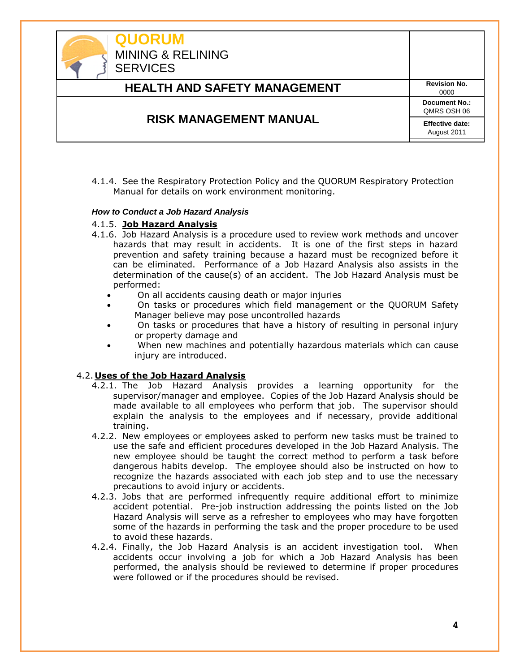| <b>QUORUM</b><br><b>MINING &amp; RELINING</b><br><b>SERVICES</b> |                                       |
|------------------------------------------------------------------|---------------------------------------|
| <b>HEALTH AND SAFETY MANAGEMENT</b>                              | <b>Revision No.</b><br>0000           |
|                                                                  | <b>Document No.:</b><br>QMRS OSH 06   |
| <b>RISK MANAGEMENT MANUAL</b>                                    | <b>Effective date:</b><br>August 2011 |

4.1.4. See the Respiratory Protection Policy and the QUORUM Respiratory Protection Manual for details on work environment monitoring.

#### <span id="page-3-0"></span>*How to Conduct a Job Hazard Analysis*

#### 4.1.5. **Job Hazard Analysis**

- 4.1.6. Job Hazard Analysis is a procedure used to review work methods and uncover hazards that may result in accidents. It is one of the first steps in hazard prevention and safety training because a hazard must be recognized before it can be eliminated. Performance of a Job Hazard Analysis also assists in the determination of the cause(s) of an accident. The Job Hazard Analysis must be performed:
	- On all accidents causing death or major injuries
	- On tasks or procedures which field management or the QUORUM Safety Manager believe may pose uncontrolled hazards
	- On tasks or procedures that have a history of resulting in personal injury or property damage and
	- When new machines and potentially hazardous materials which can cause injury are introduced.

#### 4.2. **Uses of the Job Hazard Analysis**

- 4.2.1. The Job Hazard Analysis provides a learning opportunity for the supervisor/manager and employee. Copies of the Job Hazard Analysis should be made available to all employees who perform that job. The supervisor should explain the analysis to the employees and if necessary, provide additional training.
- 4.2.2. New employees or employees asked to perform new tasks must be trained to use the safe and efficient procedures developed in the Job Hazard Analysis. The new employee should be taught the correct method to perform a task before dangerous habits develop. The employee should also be instructed on how to recognize the hazards associated with each job step and to use the necessary precautions to avoid injury or accidents.
- 4.2.3. Jobs that are performed infrequently require additional effort to minimize accident potential. Pre-job instruction addressing the points listed on the Job Hazard Analysis will serve as a refresher to employees who may have forgotten some of the hazards in performing the task and the proper procedure to be used to avoid these hazards.
- 4.2.4. Finally, the Job Hazard Analysis is an accident investigation tool. When accidents occur involving a job for which a Job Hazard Analysis has been performed, the analysis should be reviewed to determine if proper procedures were followed or if the procedures should be revised.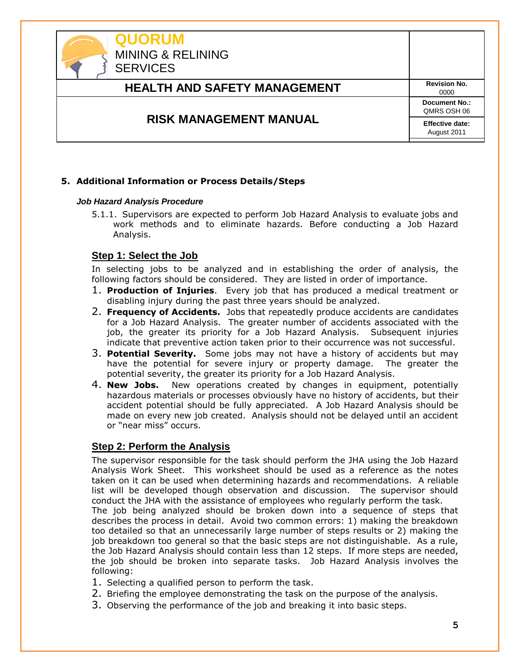

#### <span id="page-4-1"></span><span id="page-4-0"></span>**5. Additional Information or Process Details/Steps**

#### *Job Hazard Analysis Procedure*

5.1.1. Supervisors are expected to perform Job Hazard Analysis to evaluate jobs and work methods and to eliminate hazards. Before conducting a Job Hazard Analysis.

#### <span id="page-4-2"></span>**Step 1: Select the Job**

In selecting jobs to be analyzed and in establishing the order of analysis, the following factors should be considered. They are listed in order of importance.

- 1. **Production of Injuries**. Every job that has produced a medical treatment or disabling injury during the past three years should be analyzed.
- 2. **Frequency of Accidents.** Jobs that repeatedly produce accidents are candidates for a Job Hazard Analysis. The greater number of accidents associated with the job, the greater its priority for a Job Hazard Analysis. Subsequent injuries indicate that preventive action taken prior to their occurrence was not successful.
- 3. **Potential Severity.** Some jobs may not have a history of accidents but may have the potential for severe injury or property damage. The greater the potential severity, the greater its priority for a Job Hazard Analysis.
- 4. **New Jobs.** New operations created by changes in equipment, potentially hazardous materials or processes obviously have no history of accidents, but their accident potential should be fully appreciated. A Job Hazard Analysis should be made on every new job created. Analysis should not be delayed until an accident or "near miss" occurs.

#### <span id="page-4-3"></span>**Step 2: Perform the Analysis**

The supervisor responsible for the task should perform the JHA using the Job Hazard Analysis Work Sheet. This worksheet should be used as a reference as the notes taken on it can be used when determining hazards and recommendations. A reliable list will be developed though observation and discussion. The supervisor should conduct the JHA with the assistance of employees who regularly perform the task.

The job being analyzed should be broken down into a sequence of steps that describes the process in detail. Avoid two common errors: 1) making the breakdown too detailed so that an unnecessarily large number of steps results or 2) making the job breakdown too general so that the basic steps are not distinguishable. As a rule, the Job Hazard Analysis should contain less than 12 steps. If more steps are needed, the job should be broken into separate tasks. Job Hazard Analysis involves the following:

- 1. Selecting a qualified person to perform the task.
- 2. Briefing the employee demonstrating the task on the purpose of the analysis.
- 3. Observing the performance of the job and breaking it into basic steps.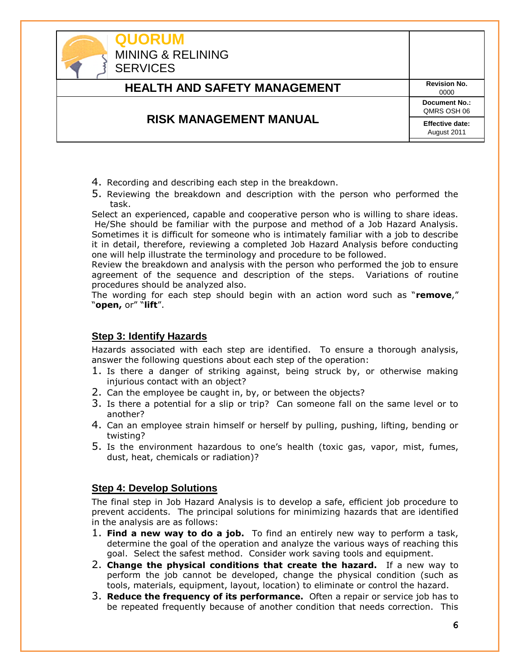| <b>QUORUM</b><br><b>MINING &amp; RELINING</b><br><b>SERVICES</b> |                                       |
|------------------------------------------------------------------|---------------------------------------|
| <b>HEALTH AND SAFETY MANAGEMENT</b>                              | <b>Revision No.</b><br>0000           |
|                                                                  | <b>Document No.:</b><br>QMRS OSH 06   |
| <b>RISK MANAGEMENT MANUAL</b>                                    | <b>Effective date:</b><br>August 2011 |

- 4. Recording and describing each step in the breakdown.
- 5. Reviewing the breakdown and description with the person who performed the task.

Select an experienced, capable and cooperative person who is willing to share ideas. He/She should be familiar with the purpose and method of a Job Hazard Analysis. Sometimes it is difficult for someone who is intimately familiar with a job to describe it in detail, therefore, reviewing a completed Job Hazard Analysis before conducting one will help illustrate the terminology and procedure to be followed.

Review the breakdown and analysis with the person who performed the job to ensure agreement of the sequence and description of the steps. Variations of routine procedures should be analyzed also.

The wording for each step should begin with an action word such as "**remove**," "**open,** or" "**lift**".

#### <span id="page-5-0"></span>**Step 3: Identify Hazards**

Hazards associated with each step are identified. To ensure a thorough analysis, answer the following questions about each step of the operation:

- 1. Is there a danger of striking against, being struck by, or otherwise making injurious contact with an object?
- 2. Can the employee be caught in, by, or between the objects?
- 3. Is there a potential for a slip or trip? Can someone fall on the same level or to another?
- 4. Can an employee strain himself or herself by pulling, pushing, lifting, bending or twisting?
- 5. Is the environment hazardous to one's health (toxic gas, vapor, mist, fumes, dust, heat, chemicals or radiation)?

#### <span id="page-5-1"></span>**Step 4: Develop Solutions**

The final step in Job Hazard Analysis is to develop a safe, efficient job procedure to prevent accidents. The principal solutions for minimizing hazards that are identified in the analysis are as follows:

- 1. **Find a new way to do a job.** To find an entirely new way to perform a task, determine the goal of the operation and analyze the various ways of reaching this goal. Select the safest method. Consider work saving tools and equipment.
- 2. **Change the physical conditions that create the hazard.** If a new way to perform the job cannot be developed, change the physical condition (such as tools, materials, equipment, layout, location) to eliminate or control the hazard.
- 3. **Reduce the frequency of its performance.** Often a repair or service job has to be repeated frequently because of another condition that needs correction. This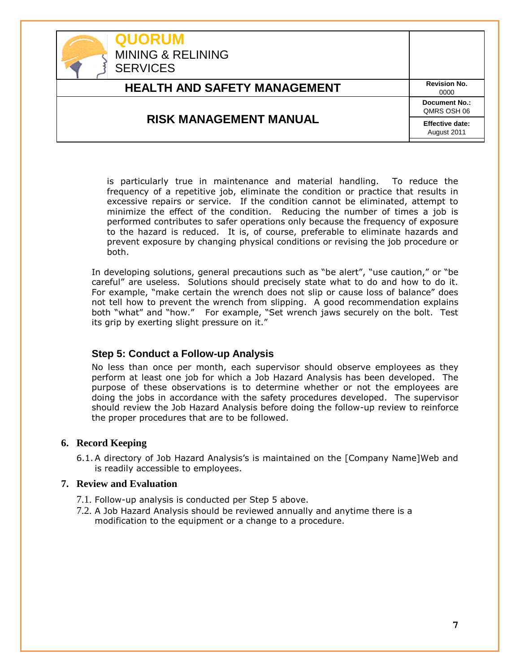| <b>QUORUM</b><br><b>MINING &amp; RELINING</b><br><b>SERVICES</b> |                                       |
|------------------------------------------------------------------|---------------------------------------|
| <b>HEALTH AND SAFETY MANAGEMENT</b>                              | <b>Revision No.</b><br>0000           |
|                                                                  | <b>Document No.:</b><br>QMRS OSH 06   |
| <b>RISK MANAGEMENT MANUAL</b>                                    | <b>Effective date:</b><br>August 2011 |

is particularly true in maintenance and material handling. To reduce the frequency of a repetitive job, eliminate the condition or practice that results in excessive repairs or service. If the condition cannot be eliminated, attempt to minimize the effect of the condition. Reducing the number of times a job is performed contributes to safer operations only because the frequency of exposure to the hazard is reduced. It is, of course, preferable to eliminate hazards and prevent exposure by changing physical conditions or revising the job procedure or both.

In developing solutions, general precautions such as "be alert", "use caution," or "be careful" are useless. Solutions should precisely state what to do and how to do it. For example, "make certain the wrench does not slip or cause loss of balance" does not tell how to prevent the wrench from slipping. A good recommendation explains both "what" and "how." For example, "Set wrench jaws securely on the bolt. Test its grip by exerting slight pressure on it."

#### <span id="page-6-0"></span>**Step 5: Conduct a Follow-up Analysis**

No less than once per month, each supervisor should observe employees as they perform at least one job for which a Job Hazard Analysis has been developed. The purpose of these observations is to determine whether or not the employees are doing the jobs in accordance with the safety procedures developed. The supervisor should review the Job Hazard Analysis before doing the follow-up review to reinforce the proper procedures that are to be followed.

#### <span id="page-6-1"></span>**6. Record Keeping**

6.1.A directory of Job Hazard Analysis's is maintained on the [Company Name]Web and is readily accessible to employees.

#### <span id="page-6-2"></span>**7. Review and Evaluation**

- 7.1. Follow-up analysis is conducted per Step 5 above.
- 7.2. A Job Hazard Analysis should be reviewed annually and anytime there is a modification to the equipment or a change to a procedure.